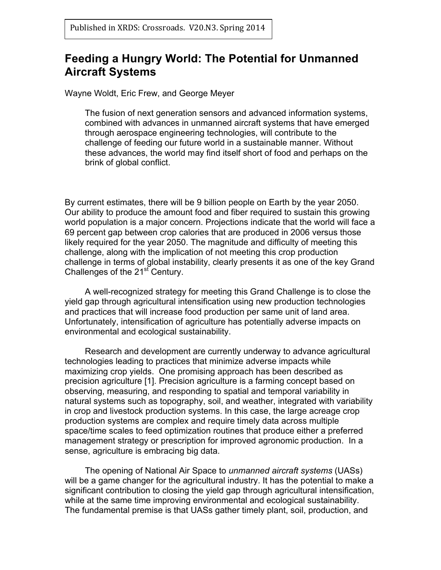# **Feeding a Hungry World: The Potential for Unmanned Aircraft Systems**

Wayne Woldt, Eric Frew, and George Meyer

The fusion of next generation sensors and advanced information systems, combined with advances in unmanned aircraft systems that have emerged through aerospace engineering technologies, will contribute to the challenge of feeding our future world in a sustainable manner. Without these advances, the world may find itself short of food and perhaps on the brink of global conflict.

By current estimates, there will be 9 billion people on Earth by the year 2050. Our ability to produce the amount food and fiber required to sustain this growing world population is a major concern. Projections indicate that the world will face a 69 percent gap between crop calories that are produced in 2006 versus those likely required for the year 2050. The magnitude and difficulty of meeting this challenge, along with the implication of not meeting this crop production challenge in terms of global instability, clearly presents it as one of the key Grand Challenges of the 21<sup>st</sup> Century.

A well-recognized strategy for meeting this Grand Challenge is to close the yield gap through agricultural intensification using new production technologies and practices that will increase food production per same unit of land area. Unfortunately, intensification of agriculture has potentially adverse impacts on environmental and ecological sustainability.

Research and development are currently underway to advance agricultural technologies leading to practices that minimize adverse impacts while maximizing crop yields. One promising approach has been described as precision agriculture [1]. Precision agriculture is a farming concept based on observing, measuring, and responding to spatial and temporal variability in natural systems such as topography, soil, and weather, integrated with variability in crop and livestock production systems. In this case, the large acreage crop production systems are complex and require timely data across multiple space/time scales to feed optimization routines that produce either a preferred management strategy or prescription for improved agronomic production. In a sense, agriculture is embracing big data.

The opening of National Air Space to *unmanned aircraft systems* (UASs) will be a game changer for the agricultural industry. It has the potential to make a significant contribution to closing the yield gap through agricultural intensification, while at the same time improving environmental and ecological sustainability. The fundamental premise is that UASs gather timely plant, soil, production, and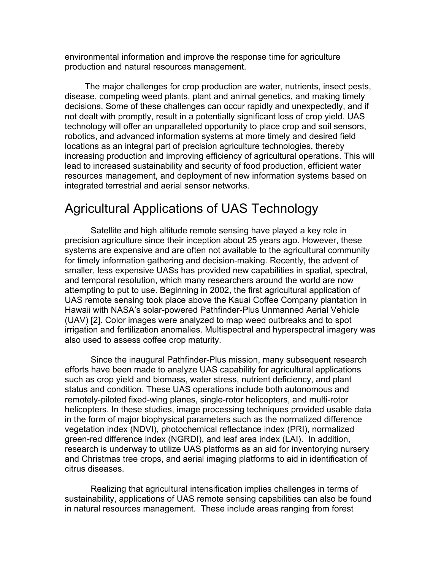environmental information and improve the response time for agriculture production and natural resources management.

The major challenges for crop production are water, nutrients, insect pests, disease, competing weed plants, plant and animal genetics, and making timely decisions. Some of these challenges can occur rapidly and unexpectedly, and if not dealt with promptly, result in a potentially significant loss of crop yield. UAS technology will offer an unparalleled opportunity to place crop and soil sensors, robotics, and advanced information systems at more timely and desired field locations as an integral part of precision agriculture technologies, thereby increasing production and improving efficiency of agricultural operations. This will lead to increased sustainability and security of food production, efficient water resources management, and deployment of new information systems based on integrated terrestrial and aerial sensor networks.

# Agricultural Applications of UAS Technology

Satellite and high altitude remote sensing have played a key role in precision agriculture since their inception about 25 years ago. However, these systems are expensive and are often not available to the agricultural community for timely information gathering and decision-making. Recently, the advent of smaller, less expensive UASs has provided new capabilities in spatial, spectral, and temporal resolution, which many researchers around the world are now attempting to put to use. Beginning in 2002, the first agricultural application of UAS remote sensing took place above the Kauai Coffee Company plantation in Hawaii with NASA's solar-powered Pathfinder-Plus Unmanned Aerial Vehicle (UAV) [2]. Color images were analyzed to map weed outbreaks and to spot irrigation and fertilization anomalies. Multispectral and hyperspectral imagery was also used to assess coffee crop maturity.

Since the inaugural Pathfinder-Plus mission, many subsequent research efforts have been made to analyze UAS capability for agricultural applications such as crop yield and biomass, water stress, nutrient deficiency, and plant status and condition. These UAS operations include both autonomous and remotely-piloted fixed-wing planes, single-rotor helicopters, and multi-rotor helicopters. In these studies, image processing techniques provided usable data in the form of major biophysical parameters such as the normalized difference vegetation index (NDVI), photochemical reflectance index (PRI), normalized green-red difference index (NGRDI), and leaf area index (LAI). In addition, research is underway to utilize UAS platforms as an aid for inventorying nursery and Christmas tree crops, and aerial imaging platforms to aid in identification of citrus diseases.

Realizing that agricultural intensification implies challenges in terms of sustainability, applications of UAS remote sensing capabilities can also be found in natural resources management. These include areas ranging from forest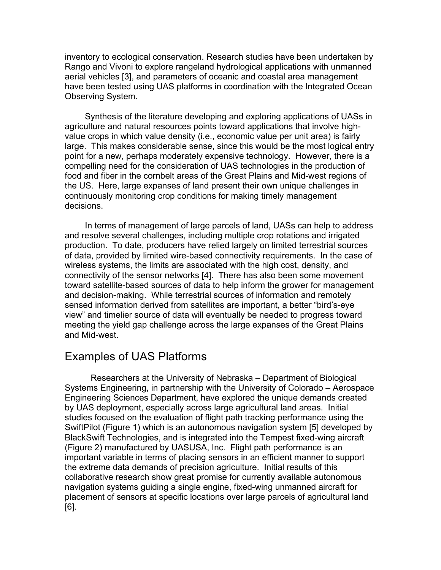inventory to ecological conservation. Research studies have been undertaken by Rango and Vivoni to explore rangeland hydrological applications with unmanned aerial vehicles [3], and parameters of oceanic and coastal area management have been tested using UAS platforms in coordination with the Integrated Ocean Observing System.

Synthesis of the literature developing and exploring applications of UASs in agriculture and natural resources points toward applications that involve highvalue crops in which value density (i.e., economic value per unit area) is fairly large. This makes considerable sense, since this would be the most logical entry point for a new, perhaps moderately expensive technology. However, there is a compelling need for the consideration of UAS technologies in the production of food and fiber in the cornbelt areas of the Great Plains and Mid-west regions of the US. Here, large expanses of land present their own unique challenges in continuously monitoring crop conditions for making timely management decisions.

In terms of management of large parcels of land, UASs can help to address and resolve several challenges, including multiple crop rotations and irrigated production. To date, producers have relied largely on limited terrestrial sources of data, provided by limited wire-based connectivity requirements. In the case of wireless systems, the limits are associated with the high cost, density, and connectivity of the sensor networks [4]. There has also been some movement toward satellite-based sources of data to help inform the grower for management and decision-making. While terrestrial sources of information and remotely sensed information derived from satellites are important, a better "bird's-eye view" and timelier source of data will eventually be needed to progress toward meeting the yield gap challenge across the large expanses of the Great Plains and Mid-west.

#### Examples of UAS Platforms

Researchers at the University of Nebraska – Department of Biological Systems Engineering, in partnership with the University of Colorado – Aerospace Engineering Sciences Department, have explored the unique demands created by UAS deployment, especially across large agricultural land areas. Initial studies focused on the evaluation of flight path tracking performance using the SwiftPilot (Figure 1) which is an autonomous navigation system [5] developed by BlackSwift Technologies, and is integrated into the Tempest fixed-wing aircraft (Figure 2) manufactured by UASUSA, Inc. Flight path performance is an important variable in terms of placing sensors in an efficient manner to support the extreme data demands of precision agriculture. Initial results of this collaborative research show great promise for currently available autonomous navigation systems guiding a single engine, fixed-wing unmanned aircraft for placement of sensors at specific locations over large parcels of agricultural land [6].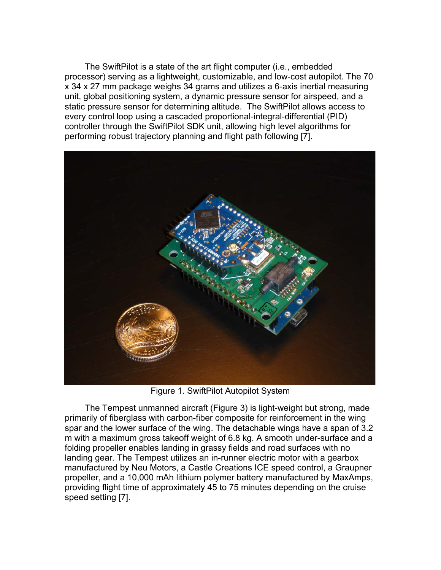The SwiftPilot is a state of the art flight computer (i.e., embedded processor) serving as a lightweight, customizable, and low-cost autopilot. The 70 x 34 x 27 mm package weighs 34 grams and utilizes a 6-axis inertial measuring unit, global positioning system, a dynamic pressure sensor for airspeed, and a static pressure sensor for determining altitude. The SwiftPilot allows access to every control loop using a cascaded proportional-integral-differential (PID) controller through the SwiftPilot SDK unit, allowing high level algorithms for performing robust trajectory planning and flight path following [7].



Figure 1. SwiftPilot Autopilot System

The Tempest unmanned aircraft (Figure 3) is light-weight but strong, made primarily of fiberglass with carbon-fiber composite for reinforcement in the wing spar and the lower surface of the wing. The detachable wings have a span of 3.2 m with a maximum gross takeoff weight of 6.8 kg. A smooth under-surface and a folding propeller enables landing in grassy fields and road surfaces with no landing gear. The Tempest utilizes an in-runner electric motor with a gearbox manufactured by Neu Motors, a Castle Creations ICE speed control, a Graupner propeller, and a 10,000 mAh lithium polymer battery manufactured by MaxAmps, providing flight time of approximately 45 to 75 minutes depending on the cruise speed setting [7].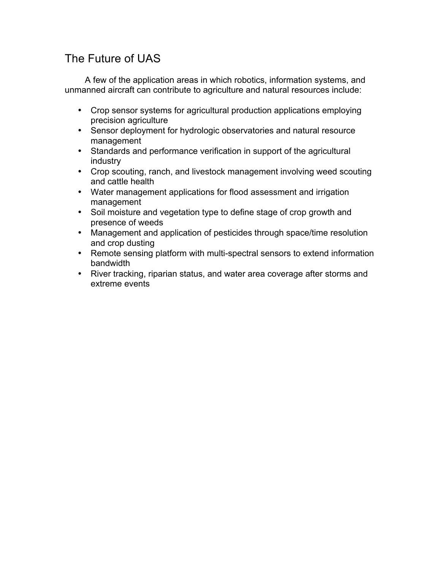# The Future of UAS

A few of the application areas in which robotics, information systems, and unmanned aircraft can contribute to agriculture and natural resources include:

- Crop sensor systems for agricultural production applications employing precision agriculture
- Sensor deployment for hydrologic observatories and natural resource management
- Standards and performance verification in support of the agricultural industry
- Crop scouting, ranch, and livestock management involving weed scouting and cattle health
- Water management applications for flood assessment and irrigation management
- Soil moisture and vegetation type to define stage of crop growth and presence of weeds
- Management and application of pesticides through space/time resolution and crop dusting
- Remote sensing platform with multi-spectral sensors to extend information bandwidth
- River tracking, riparian status, and water area coverage after storms and extreme events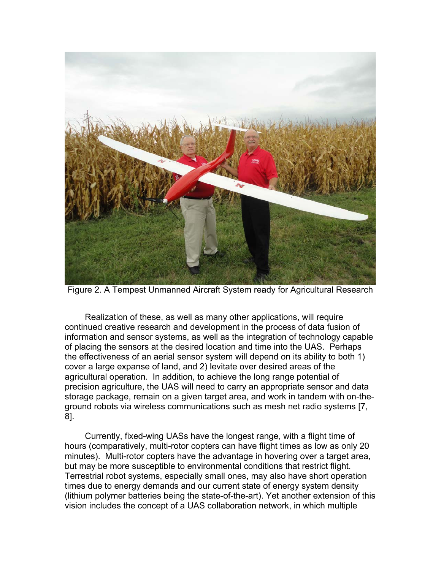

Figure 2. A Tempest Unmanned Aircraft System ready for Agricultural Research

Realization of these, as well as many other applications, will require continued creative research and development in the process of data fusion of information and sensor systems, as well as the integration of technology capable of placing the sensors at the desired location and time into the UAS. Perhaps the effectiveness of an aerial sensor system will depend on its ability to both 1) cover a large expanse of land, and 2) levitate over desired areas of the agricultural operation. In addition, to achieve the long range potential of precision agriculture, the UAS will need to carry an appropriate sensor and data storage package, remain on a given target area, and work in tandem with on-theground robots via wireless communications such as mesh net radio systems [7, 8].

Currently, fixed-wing UASs have the longest range, with a flight time of hours (comparatively, multi-rotor copters can have flight times as low as only 20 minutes). Multi-rotor copters have the advantage in hovering over a target area, but may be more susceptible to environmental conditions that restrict flight. Terrestrial robot systems, especially small ones, may also have short operation times due to energy demands and our current state of energy system density (lithium polymer batteries being the state-of-the-art). Yet another extension of this vision includes the concept of a UAS collaboration network, in which multiple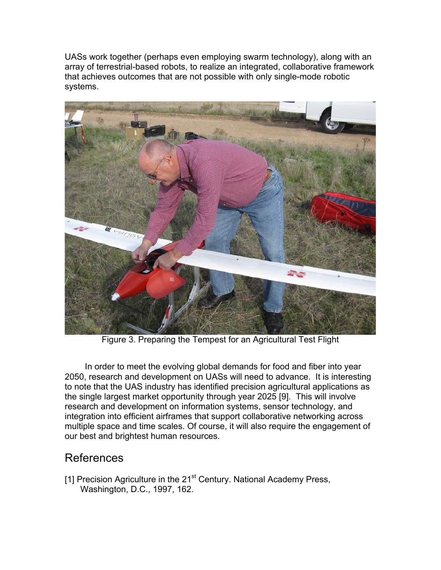UASs work together (perhaps even employing swarm technology), along with an array of terrestrial-based robots, to realize an integrated, collaborative framework that achieves outcomes that are not possible with only single-mode robotic systems.



Figure 3. Preparing the Tempest for an Agricultural Test Flight

In order to meet the evolving global demands for food and fiber into year 2050, research and development on UASs will need to advance. It is interesting to note that the UAS industry has identified precision agricultural applications as the single largest market opportunity through year 2025 [9]. This will involve research and development on information systems, sensor technology, and integration into efficient airframes that support collaborative networking across multiple space and time scales. Of course, it will also require the engagement of our best and brightest human resources.

### References

[1] Precision Agriculture in the 21<sup>st</sup> Century. National Academy Press, Washington, D.C., 1997, 162.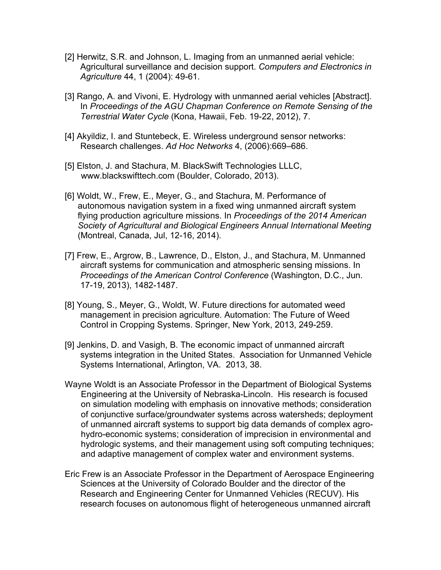- [2] Herwitz, S.R. and Johnson, L. Imaging from an unmanned aerial vehicle: Agricultural surveillance and decision support. *Computers and Electronics in Agriculture* 44, 1 (2004): 49-61.
- [3] Rango, A. and Vivoni, E. Hydrology with unmanned aerial vehicles [Abstract]. In *Proceedings of the AGU Chapman Conference on Remote Sensing of the Terrestrial Water Cycle* (Kona, Hawaii, Feb. 19-22, 2012), 7.
- [4] Akyildiz, I. and Stuntebeck, E. Wireless underground sensor networks: Research challenges. *Ad Hoc Networks* 4, (2006):669–686.
- [5] Elston, J. and Stachura, M. BlackSwift Technologies LLLC, www.blackswifttech.com (Boulder, Colorado, 2013).
- [6] Woldt, W., Frew, E., Meyer, G., and Stachura, M. Performance of autonomous navigation system in a fixed wing unmanned aircraft system flying production agriculture missions. In *Proceedings of the 2014 American Society of Agricultural and Biological Engineers Annual International Meeting* (Montreal, Canada, Jul, 12-16, 2014).
- [7] Frew, E., Argrow, B., Lawrence, D., Elston, J., and Stachura, M. Unmanned aircraft systems for communication and atmospheric sensing missions. In *Proceedings of the American Control Conference* (Washington, D.C., Jun. 17-19, 2013), 1482-1487.
- [8] Young, S., Meyer, G., Woldt, W. Future directions for automated weed management in precision agriculture. Automation: The Future of Weed Control in Cropping Systems. Springer, New York, 2013, 249-259.
- [9] Jenkins, D. and Vasigh, B. The economic impact of unmanned aircraft systems integration in the United States. Association for Unmanned Vehicle Systems International, Arlington, VA. 2013, 38.
- Wayne Woldt is an Associate Professor in the Department of Biological Systems Engineering at the University of Nebraska-Lincoln. His research is focused on simulation modeling with emphasis on innovative methods; consideration of conjunctive surface/groundwater systems across watersheds; deployment of unmanned aircraft systems to support big data demands of complex agrohydro-economic systems; consideration of imprecision in environmental and hydrologic systems, and their management using soft computing techniques; and adaptive management of complex water and environment systems.
- Eric Frew is an Associate Professor in the Department of Aerospace Engineering Sciences at the University of Colorado Boulder and the director of the Research and Engineering Center for Unmanned Vehicles (RECUV). His research focuses on autonomous flight of heterogeneous unmanned aircraft